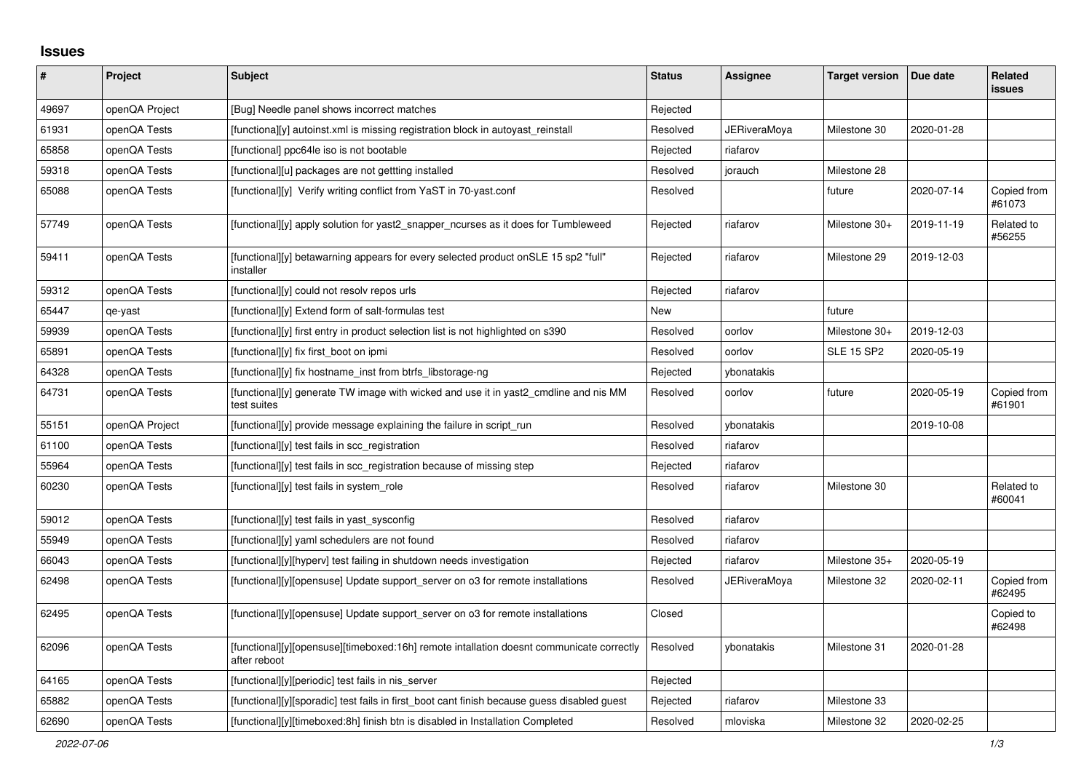## **Issues**

| #     | Project        | Subject                                                                                                  | <b>Status</b> | Assignee     | <b>Target version</b> | Due date   | Related<br><b>issues</b> |
|-------|----------------|----------------------------------------------------------------------------------------------------------|---------------|--------------|-----------------------|------------|--------------------------|
| 49697 | openQA Project | [Bug] Needle panel shows incorrect matches                                                               | Rejected      |              |                       |            |                          |
| 61931 | openQA Tests   | [functiona][y] autoinst.xml is missing registration block in autoyast reinstall                          | Resolved      | JERiveraMoya | Milestone 30          | 2020-01-28 |                          |
| 65858 | openQA Tests   | [functional] ppc64le iso is not bootable                                                                 | Rejected      | riafarov     |                       |            |                          |
| 59318 | openQA Tests   | [functional][u] packages are not gettting installed                                                      | Resolved      | jorauch      | Milestone 28          |            |                          |
| 65088 | openQA Tests   | [functional][y] Verify writing conflict from YaST in 70-yast.conf                                        | Resolved      |              | future                | 2020-07-14 | Copied from<br>#61073    |
| 57749 | openQA Tests   | [functional][y] apply solution for yast2 snapper ncurses as it does for Tumbleweed                       | Rejected      | riafarov     | Milestone 30+         | 2019-11-19 | Related to<br>#56255     |
| 59411 | openQA Tests   | [functional][y] betawarning appears for every selected product on SLE 15 sp2 "full"<br>installer         | Rejected      | riafarov     | Milestone 29          | 2019-12-03 |                          |
| 59312 | openQA Tests   | [functional][y] could not resolv repos urls                                                              | Rejected      | riafarov     |                       |            |                          |
| 65447 | qe-yast        | [functional][y] Extend form of salt-formulas test                                                        | New           |              | future                |            |                          |
| 59939 | openQA Tests   | [functional][y] first entry in product selection list is not highlighted on s390                         | Resolved      | oorlov       | Milestone 30+         | 2019-12-03 |                          |
| 65891 | openQA Tests   | [functional][y] fix first boot on ipmi                                                                   | Resolved      | oorlov       | <b>SLE 15 SP2</b>     | 2020-05-19 |                          |
| 64328 | openQA Tests   | [functional][y] fix hostname inst from btrfs libstorage-ng                                               | Rejected      | ybonatakis   |                       |            |                          |
| 64731 | openQA Tests   | [functional][y] generate TW image with wicked and use it in yast2 cmdline and nis MM<br>test suites      | Resolved      | oorlov       | future                | 2020-05-19 | Copied from<br>#61901    |
| 55151 | openQA Project | [functional][y] provide message explaining the failure in script run                                     | Resolved      | ybonatakis   |                       | 2019-10-08 |                          |
| 61100 | openQA Tests   | [functional][y] test fails in scc registration                                                           | Resolved      | riafarov     |                       |            |                          |
| 55964 | openQA Tests   | [functional][y] test fails in scc registration because of missing step                                   | Rejected      | riafarov     |                       |            |                          |
| 60230 | openQA Tests   | [functional][y] test fails in system role                                                                | Resolved      | riafarov     | Milestone 30          |            | Related to<br>#60041     |
| 59012 | openQA Tests   | [functional][y] test fails in yast sysconfig                                                             | Resolved      | riafarov     |                       |            |                          |
| 55949 | openQA Tests   | [functional][y] yaml schedulers are not found                                                            | Resolved      | riafarov     |                       |            |                          |
| 66043 | openQA Tests   | [functional][y][hyperv] test failing in shutdown needs investigation                                     | Rejected      | riafarov     | Milestone 35+         | 2020-05-19 |                          |
| 62498 | openQA Tests   | [functional][y][opensuse] Update support server on 03 for remote installations                           | Resolved      | JERiveraMoya | Milestone 32          | 2020-02-11 | Copied from<br>#62495    |
| 62495 | openQA Tests   | [functional][y][opensuse] Update support server on o3 for remote installations                           | Closed        |              |                       |            | Copied to<br>#62498      |
| 62096 | openQA Tests   | [functional][y][opensuse][timeboxed:16h] remote intallation doesnt communicate correctly<br>after reboot | Resolved      | ybonatakis   | Milestone 31          | 2020-01-28 |                          |
| 64165 | openQA Tests   | [functional][y][periodic] test fails in nis_server                                                       | Rejected      |              |                       |            |                          |
| 65882 | openQA Tests   | [functional][y][sporadic] test fails in first boot cant finish because guess disabled guest              | Rejected      | riafarov     | Milestone 33          |            |                          |
| 62690 | openQA Tests   | [functional][y][timeboxed:8h] finish btn is disabled in Installation Completed                           | Resolved      | mloviska     | Milestone 32          | 2020-02-25 |                          |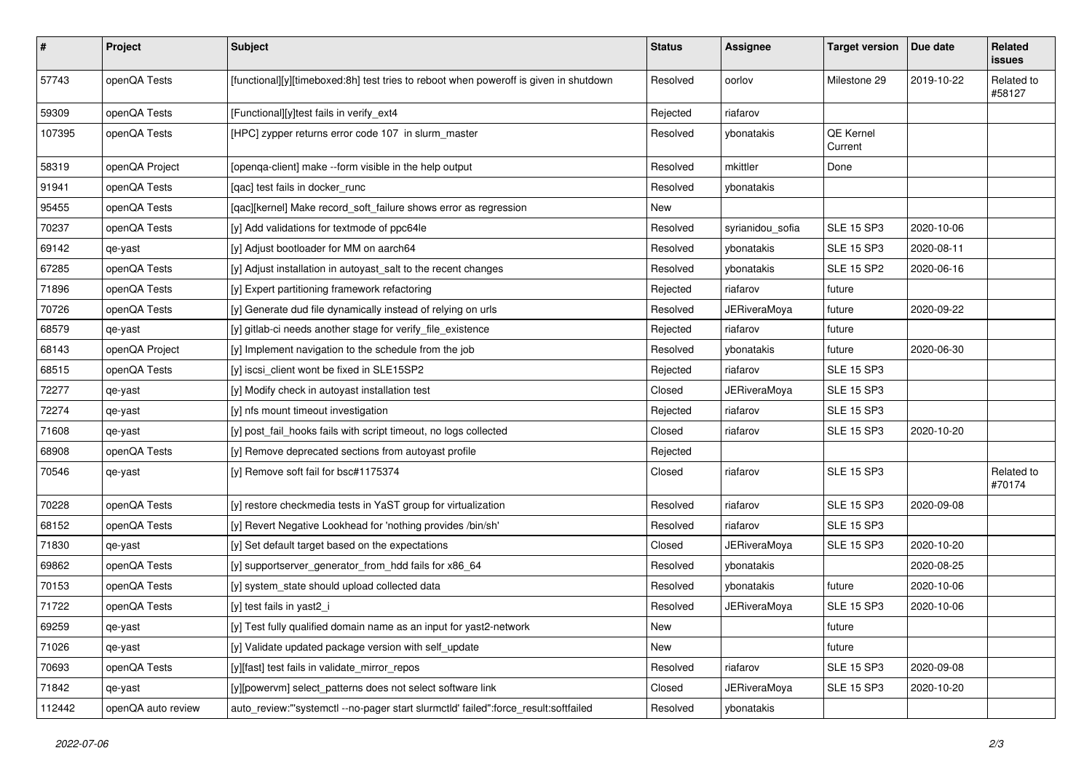| $\pmb{\#}$ | Project            | Subject                                                                               | <b>Status</b> | Assignee            | <b>Target version</b> | Due date   | Related<br>issues    |
|------------|--------------------|---------------------------------------------------------------------------------------|---------------|---------------------|-----------------------|------------|----------------------|
| 57743      | openQA Tests       | [functional][y][timeboxed:8h] test tries to reboot when poweroff is given in shutdown | Resolved      | oorlov              | Milestone 29          | 2019-10-22 | Related to<br>#58127 |
| 59309      | openQA Tests       | [Functional][y]test fails in verify_ext4                                              | Rejected      | riafarov            |                       |            |                      |
| 107395     | openQA Tests       | [HPC] zypper returns error code 107 in slurm_master                                   | Resolved      | ybonatakis          | QE Kernel<br>Current  |            |                      |
| 58319      | openQA Project     | [openqa-client] make --form visible in the help output                                | Resolved      | mkittler            | Done                  |            |                      |
| 91941      | openQA Tests       | [qac] test fails in docker_runc                                                       | Resolved      | ybonatakis          |                       |            |                      |
| 95455      | openQA Tests       | [qac][kernel] Make record_soft_failure shows error as regression                      | New           |                     |                       |            |                      |
| 70237      | openQA Tests       | [y] Add validations for textmode of ppc64le                                           | Resolved      | syrianidou_sofia    | <b>SLE 15 SP3</b>     | 2020-10-06 |                      |
| 69142      | qe-yast            | [y] Adjust bootloader for MM on aarch64                                               | Resolved      | ybonatakis          | <b>SLE 15 SP3</b>     | 2020-08-11 |                      |
| 67285      | openQA Tests       | [y] Adjust installation in autoyast_salt to the recent changes                        | Resolved      | ybonatakis          | <b>SLE 15 SP2</b>     | 2020-06-16 |                      |
| 71896      | openQA Tests       | [y] Expert partitioning framework refactoring                                         | Rejected      | riafarov            | future                |            |                      |
| 70726      | openQA Tests       | [y] Generate dud file dynamically instead of relying on urls                          | Resolved      | <b>JERiveraMoya</b> | future                | 2020-09-22 |                      |
| 68579      | qe-yast            | [y] gitlab-ci needs another stage for verify_file_existence                           | Rejected      | riafarov            | future                |            |                      |
| 68143      | openQA Project     | [y] Implement navigation to the schedule from the job                                 | Resolved      | ybonatakis          | future                | 2020-06-30 |                      |
| 68515      | openQA Tests       | [y] iscsi_client wont be fixed in SLE15SP2                                            | Rejected      | riafarov            | <b>SLE 15 SP3</b>     |            |                      |
| 72277      | qe-yast            | [y] Modify check in autoyast installation test                                        | Closed        | <b>JERiveraMoya</b> | <b>SLE 15 SP3</b>     |            |                      |
| 72274      | qe-yast            | [y] nfs mount timeout investigation                                                   | Rejected      | riafarov            | <b>SLE 15 SP3</b>     |            |                      |
| 71608      | qe-yast            | [y] post_fail_hooks fails with script timeout, no logs collected                      | Closed        | riafarov            | <b>SLE 15 SP3</b>     | 2020-10-20 |                      |
| 68908      | openQA Tests       | [y] Remove deprecated sections from autoyast profile                                  | Rejected      |                     |                       |            |                      |
| 70546      | qe-yast            | [y] Remove soft fail for bsc#1175374                                                  | Closed        | riafarov            | <b>SLE 15 SP3</b>     |            | Related to<br>#70174 |
| 70228      | openQA Tests       | [y] restore checkmedia tests in YaST group for virtualization                         | Resolved      | riafarov            | <b>SLE 15 SP3</b>     | 2020-09-08 |                      |
| 68152      | openQA Tests       | [y] Revert Negative Lookhead for 'nothing provides /bin/sh'                           | Resolved      | riafarov            | <b>SLE 15 SP3</b>     |            |                      |
| 71830      | qe-yast            | [y] Set default target based on the expectations                                      | Closed        | JERiveraMoya        | <b>SLE 15 SP3</b>     | 2020-10-20 |                      |
| 69862      | openQA Tests       | [y] supportserver_generator_from_hdd fails for x86_64                                 | Resolved      | ybonatakis          |                       | 2020-08-25 |                      |
| 70153      | openQA Tests       | [y] system_state should upload collected data                                         | Resolved      | ybonatakis          | future                | 2020-10-06 |                      |
| 71722      | openQA Tests       | [y] test fails in yast2_i                                                             | Resolved      | JERiveraMoya        | <b>SLE 15 SP3</b>     | 2020-10-06 |                      |
| 69259      | qe-yast            | [y] Test fully qualified domain name as an input for yast2-network                    | New           |                     | future                |            |                      |
| 71026      | qe-yast            | [y] Validate updated package version with self update                                 | New           |                     | future                |            |                      |
| 70693      | openQA Tests       | [y][fast] test fails in validate_mirror_repos                                         | Resolved      | riafarov            | <b>SLE 15 SP3</b>     | 2020-09-08 |                      |
| 71842      | qe-yast            | [y][powervm] select patterns does not select software link                            | Closed        | JERiveraMoya        | SLE 15 SP3            | 2020-10-20 |                      |
| 112442     | openQA auto review | auto_review:"'systemctl --no-pager start slurmctld' failed":force_result:softfailed   | Resolved      | ybonatakis          |                       |            |                      |